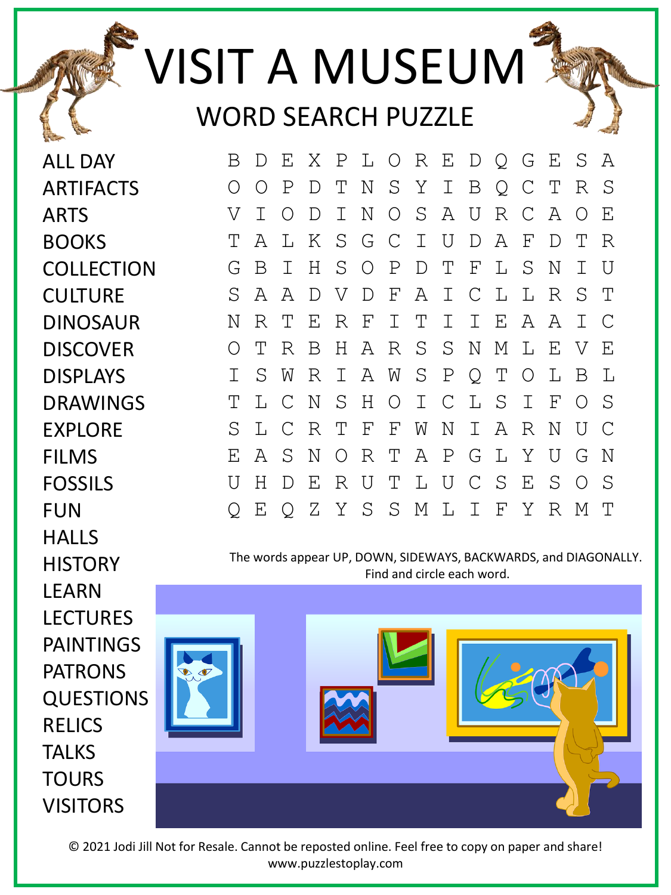## VISIT A MUSEUM WORD SEARCH PUZZLE

ALL DAY **ARTIFACTS** ARTS **BOOKS COLLECTION CULTURE** DINOSAUR **DISCOVER** DISPLAYS DRAWINGS EXPLORE FILMS FOSSILS FUN **HALLS HISTORY LEARN** LECTURES PAINTINGS PATRONS QUESTIONS RELICS **TALKS TOURS** VISITORS



The words appear UP, DOWN, SIDEWAYS, BACKWARDS, and DIAGONALLY. Find and circle each word.



© 2021 Jodi Jill Not for Resale. Cannot be reposted online. Feel free to copy on paper and share! www.puzzlestoplay.com